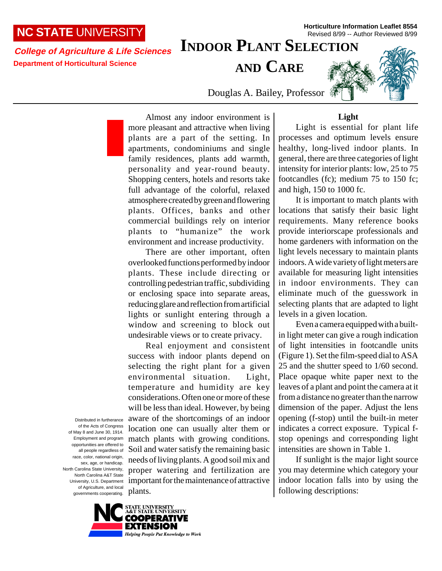## **NC STATE** UNIVERSITY

# **INDOOR PLANT SELECTION**

**College of Agriculture & Life Sciences Department of Horticultural Science**

**AND CARE**

**Horticulture Information Leaflet 8554** Revised 8/99 -- Author Reviewed 8/99

Douglas A. Bailey, Professor

Almost any indoor environment is more pleasant and attractive when living plants are a part of the setting. In apartments, condominiums and single family residences, plants add warmth, personality and year-round beauty. Shopping centers, hotels and resorts take full advantage of the colorful, relaxed atmosphere created by green and flowering plants. Offices, banks and other commercial buildings rely on interior plants to "humanize" the work environment and increase productivity.

There are other important, often overlooked functions performed by indoor plants. These include directing or controlling pedestrian traffic, subdividing or enclosing space into separate areas, reducing glare and reflection from artificial lights or sunlight entering through a window and screening to block out undesirable views or to create privacy.

Real enjoyment and consistent success with indoor plants depend on selecting the right plant for a given environmental situation. Light, temperature and humidity are key considerations. Often one or more of these will be less than ideal. However, by being aware of the shortcomings of an indoor location one can usually alter them or match plants with growing conditions. Soil and water satisfy the remaining basic needs of living plants. A good soil mix and proper watering and fertilization are important for the maintenance of attractive plants.

Light is essential for plant life processes and optimum levels ensure healthy, long-lived indoor plants. In general, there are three categories of light intensity for interior plants: low, 25 to 75 footcandles (fc); medium 75 to 150 fc; and high, 150 to 1000 fc.

It is important to match plants with locations that satisfy their basic light requirements. Many reference books provide interiorscape professionals and home gardeners with information on the light levels necessary to maintain plants indoors. A wide variety of light meters are available for measuring light intensities in indoor environments. They can eliminate much of the guesswork in selecting plants that are adapted to light levels in a given location.

Even a camera equipped with a builtin light meter can give a rough indication of light intensities in footcandle units (Figure 1). Set the film-speed dial to ASA 25 and the shutter speed to 1/60 second. Place opaque white paper next to the leaves of a plant and point the camera at it from a distance no greater than the narrow dimension of the paper. Adjust the lens opening (f-stop) until the built-in meter indicates a correct exposure. Typical fstop openings and corresponding light intensities are shown in Table 1.

If sunlight is the major light source you may determine which category your indoor location falls into by using the following descriptions:

Distributed in furtherance of the Acts of Congress of May 8 and June 30, 1914. Employment and program opportunities are offered to all people regardless of race, color, national origin, sex, age, or handicap. North Carolina State University, North Carolina A&T State University, U.S. Department of Agriculture, and local governments cooperating.



## **Light**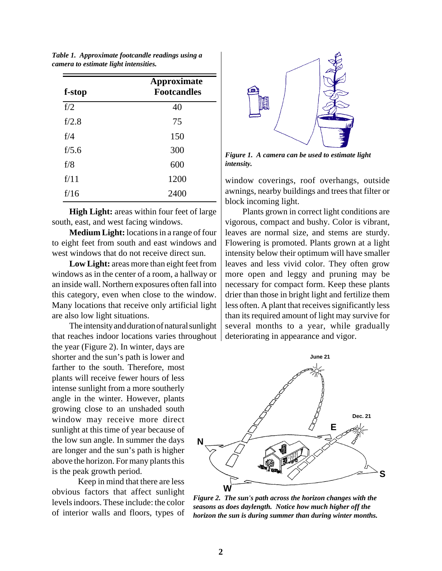| f-stop | <b>Approximate</b><br><b>Footcandles</b> |  |  |  |  |  |  |
|--------|------------------------------------------|--|--|--|--|--|--|
| f/2    | 40                                       |  |  |  |  |  |  |
| f/2.8  | 75                                       |  |  |  |  |  |  |
| f/4    | 150                                      |  |  |  |  |  |  |
| f/5.6  | 300                                      |  |  |  |  |  |  |
| f/8    | 600                                      |  |  |  |  |  |  |
| f/11   | 1200                                     |  |  |  |  |  |  |
| f/16   | 2400                                     |  |  |  |  |  |  |
|        |                                          |  |  |  |  |  |  |

*Table 1. Approximate footcandle readings using a camera to estimate light intensities.*

**High Light:** areas within four feet of large south, east, and west facing windows.

**Medium Light:** locations in a range of four to eight feet from south and east windows and west windows that do not receive direct sun.

**Low Light:** areas more than eight feet from windows as in the center of a room, a hallway or an inside wall. Northern exposures often fall into this category, even when close to the window. Many locations that receive only artificial light are also low light situations.

The intensity and duration of natural sunlight that reaches indoor locations varies throughout

the year (Figure 2). In winter, days are shorter and the sun's path is lower and farther to the south. Therefore, most plants will receive fewer hours of less intense sunlight from a more southerly angle in the winter. However, plants growing close to an unshaded south window may receive more direct sunlight at this time of year because of the low sun angle. In summer the days are longer and the sun's path is higher above the horizon. For many plants this is the peak growth period.

Keep in mind that there are less obvious factors that affect sunlight levels indoors. These include: the color of interior walls and floors, types of



*Figure 1. A camera can be used to estimate light intensity.*

window coverings, roof overhangs, outside awnings, nearby buildings and trees that filter or block incoming light.

Plants grown in correct light conditions are vigorous, compact and bushy. Color is vibrant, leaves are normal size, and stems are sturdy. Flowering is promoted. Plants grown at a light intensity below their optimum will have smaller leaves and less vivid color. They often grow more open and leggy and pruning may be necessary for compact form. Keep these plants drier than those in bright light and fertilize them less often. A plant that receives significantly less than its required amount of light may survive for several months to a year, while gradually deteriorating in appearance and vigor.



*Figure 2. The sun's path across the horizon changes with the seasons as does daylength. Notice how much higher off the horizon the sun is during summer than during winter months.*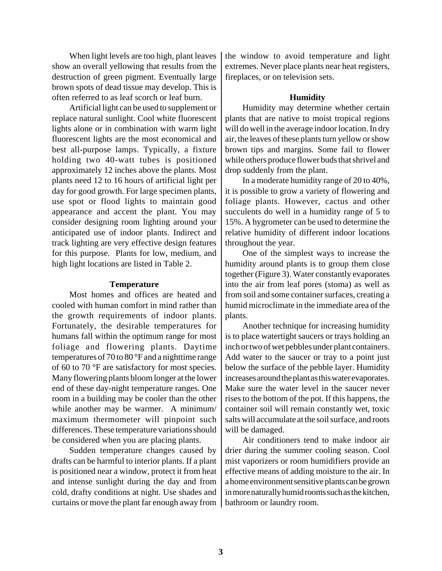When light levels are too high, plant leaves show an overall yellowing that results from the destruction of green pigment. Eventually large brown spots of dead tissue may develop. This is often referred to as leaf scorch or leaf burn.

Artificial light can be used to supplement or replace natural sunlight. Cool white fluorescent lights alone or in combination with warm light fluorescent lights are the most economical and best all-purpose lamps. Typically, a fixture holding two 40-watt tubes is positioned approximately 12 inches above the plants. Most plants need 12 to 16 hours of artificial light per day for good growth. For large specimen plants, use spot or flood lights to maintain good appearance and accent the plant. You may consider designing room lighting around your anticipated use of indoor plants. Indirect and track lighting are very effective design features for this purpose. Plants for low, medium, and high light locations are listed in Table 2.

#### **Temperature**

Most homes and offices are heated and cooled with human comfort in mind rather than the growth requirements of indoor plants. Fortunately, the desirable temperatures for humans fall within the optimum range for most foliage and flowering plants. Daytime temperatures of 70 to 80 °F and a nighttime range of 60 to 70 °F are satisfactory for most species. Many flowering plants bloom longer at the lower end of these day-night temperature ranges. One room in a building may be cooler than the other while another may be warmer. A minimum/ maximum thermometer will pinpoint such differences. These temperature variations should be considered when you are placing plants.

Sudden temperature changes caused by drafts can be harmful to interior plants. If a plant is positioned near a window, protect it from heat and intense sunlight during the day and from cold, drafty conditions at night. Use shades and curtains or move the plant far enough away from the window to avoid temperature and light extremes. Never place plants near heat registers, fireplaces, or on television sets.

## **Humidity**

Humidity may determine whether certain plants that are native to moist tropical regions will do well in the average indoor location. In dry air, the leaves of these plants turn yellow or show brown tips and margins. Some fail to flower while others produce flower buds that shrivel and drop suddenly from the plant.

In a moderate humidity range of 20 to 40%, it is possible to grow a variety of flowering and foliage plants. However, cactus and other succulents do well in a humidity range of 5 to 15%. A hygrometer can be used to determine the relative humidity of different indoor locations throughout the year.

One of the simplest ways to increase the humidity around plants is to group them close together (Figure 3). Water constantly evaporates into the air from leaf pores (stoma) as well as from soil and some container surfaces, creating a humid microclimate in the immediate area of the plants.

Another technique for increasing humidity is to place watertight saucers or trays holding an inch or two of wet pebbles under plant containers. Add water to the saucer or tray to a point just below the surface of the pebble layer. Humidity increases around the plant as this water evaporates. Make sure the water level in the saucer never rises to the bottom of the pot. If this happens, the container soil will remain constantly wet, toxic salts will accumulate at the soil surface, and roots will be damaged.

Air conditioners tend to make indoor air drier during the summer cooling season. Cool mist vaporizers or room humidifiers provide an effective means of adding moisture to the air. In a home environment sensitive plants can be grown in more naturally humid rooms such as the kitchen, bathroom or laundry room.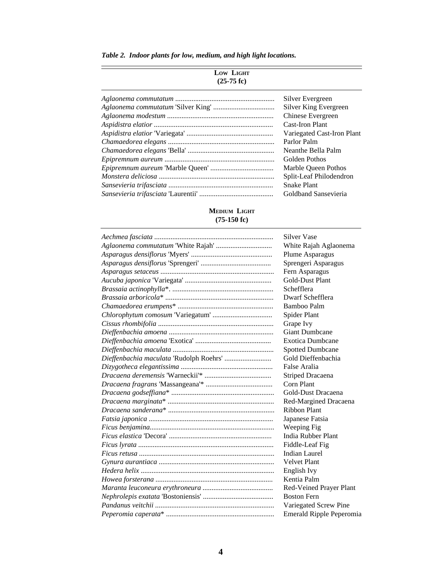| Table 2. Indoor plants for low, medium, and high light locations. |  |  |  |  |  |  |  |  |  |  |
|-------------------------------------------------------------------|--|--|--|--|--|--|--|--|--|--|
|-------------------------------------------------------------------|--|--|--|--|--|--|--|--|--|--|

 $\overline{\phantom{0}}$ 

## **LOW LIGHT (25-75 fc)**

| Silver Evergreen           |
|----------------------------|
| Silver King Evergreen      |
| Chinese Evergreen          |
| Cast-Iron Plant            |
| Variegated Cast-Iron Plant |
| Parlor Palm                |
| Neanthe Bella Palm         |
| Golden Pothos              |
| Marble Queen Pothos        |
| Split-Leaf Philodendron    |
| <b>Snake Plant</b>         |
| Goldband Sansevieria       |
|                            |

## **MEDIUM LIGHT (75-150 fc)**

| <b>Silver Vase</b>       |
|--------------------------|
| White Rajah Aglaonema    |
| Plume Asparagus          |
| Sprengeri Asparagus      |
| Fern Asparagus           |
| <b>Gold-Dust Plant</b>   |
| Schefflera               |
| Dwarf Schefflera         |
| Bamboo Palm              |
| Spider Plant             |
| Grape Ivy                |
| <b>Giant Dumbcane</b>    |
| <b>Exotica Dumbcane</b>  |
| <b>Spotted Dumbcane</b>  |
| Gold Dieffenbachia       |
| False Aralia             |
| <b>Striped Dracaena</b>  |
| Corn Plant               |
| Gold-Dust Dracaena       |
| Red-Margined Dracaena    |
| <b>Ribbon Plant</b>      |
| Japanese Fatsia          |
| Weeping Fig.             |
| India Rubber Plant       |
| Fiddle-Leaf Fig          |
| <b>Indian Laurel</b>     |
| <b>Velvet Plant</b>      |
| English Ivy              |
| Kentia Palm              |
| Red-Veined Prayer Plant  |
| <b>Boston Fern</b>       |
| Variegated Screw Pine    |
| Emerald Ripple Peperomia |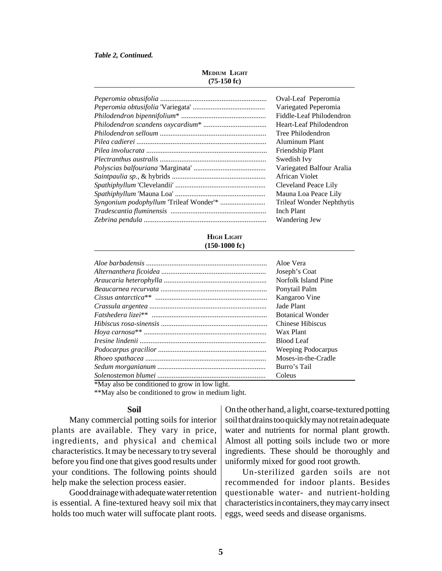#### *Table 2, Continued.*

| Oval-Leaf Peperomia       |
|---------------------------|
| Variegated Peperomia      |
| Fiddle-Leaf Philodendron  |
| Heart-Leaf Philodendron   |
| Tree Philodendron         |
| Aluminum Plant            |
| Friendship Plant          |
| Swedish Ivy               |
| Variegated Balfour Aralia |
| African Violet            |
| Cleveland Peace Lily      |
| Mauna Loa Peace Lily      |
| Trileaf Wonder Nephthytis |
| <b>Inch Plant</b>         |
| Wandering Jew             |

#### **HIGH LIGHT (150-1000 fc)**

| Aloe Vera               |
|-------------------------|
| Joseph's Coat           |
| Norfolk Island Pine     |
| Ponytail Palm           |
| Kangaroo Vine           |
| Jade Plant              |
| <b>Botanical Wonder</b> |
| Chinese Hibiscus        |
| Wax Plant               |
| <b>Blood Leaf</b>       |
| Weeping Podocarpus      |
| Moses-in-the-Cradle     |
| Burro's Tail            |
| Coleus                  |

\*May also be conditioned to grow in low light.

\*\*May also be conditioned to grow in medium light.

#### **Soil**

Many commercial potting soils for interior plants are available. They vary in price, ingredients, and physical and chemical characteristics. It may be necessary to try several before you find one that gives good results under your conditions. The following points should help make the selection process easier.

Good drainage with adequate water retention is essential. A fine-textured heavy soil mix that holds too much water will suffocate plant roots.

On the other hand, a light, coarse-textured potting soil that drains too quickly may not retain adequate water and nutrients for normal plant growth. Almost all potting soils include two or more ingredients. These should be thoroughly and uniformly mixed for good root growth.

Un-sterilized garden soils are not recommended for indoor plants. Besides questionable water- and nutrient-holding characteristics in containers, they may carry insect eggs, weed seeds and disease organisms.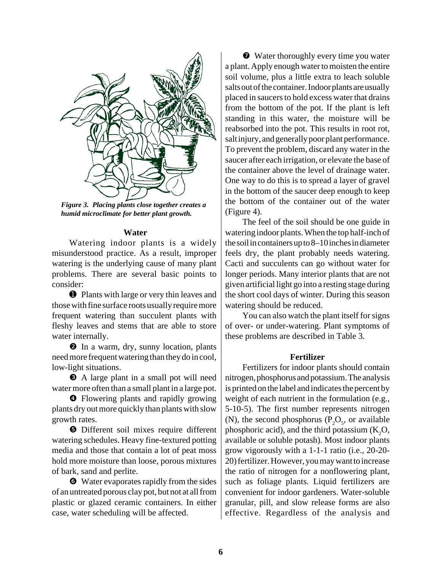

*Figure 3. Placing plants close together creates a humid microclimate for better plant growth.*

## **Water**

Watering indoor plants is a widely misunderstood practice. As a result, improper watering is the underlying cause of many plant problems. There are several basic points to consider:

 $\bullet$  Plants with large or very thin leaves and those with fine surface roots usually require more frequent watering than succulent plants with fleshy leaves and stems that are able to store water internally.

❷ In a warm, dry, sunny location, plants need more frequent watering than they do in cool, low-light situations.

❸ A large plant in a small pot will need water more often than a small plant in a large pot.

❹ Flowering plants and rapidly growing plants dry out more quickly than plants with slow growth rates.

❺ Different soil mixes require different watering schedules. Heavy fine-textured potting media and those that contain a lot of peat moss hold more moisture than loose, porous mixtures of bark, sand and perlite.

❻ Water evaporates rapidly from the sides of an untreated porous clay pot, but not at all from plastic or glazed ceramic containers. In either case, water scheduling will be affected.

❼ Water thoroughly every time you water a plant. Apply enough water to moisten the entire soil volume, plus a little extra to leach soluble salts out of the container. Indoor plants are usually placed in saucers to hold excess water that drains from the bottom of the pot. If the plant is left standing in this water, the moisture will be reabsorbed into the pot. This results in root rot, salt injury, and generally poor plant performance. To prevent the problem, discard any water in the saucer after each irrigation, or elevate the base of the container above the level of drainage water. One way to do this is to spread a layer of gravel in the bottom of the saucer deep enough to keep the bottom of the container out of the water (Figure 4).

The feel of the soil should be one guide in watering indoor plants. When the top half-inch of the soil in containers up to 8–10 inches in diameter feels dry, the plant probably needs watering. Cacti and succulents can go without water for longer periods. Many interior plants that are not given artificial light go into a resting stage during the short cool days of winter. During this season watering should be reduced.

You can also watch the plant itself for signs of over- or under-watering. Plant symptoms of these problems are described in Table 3.

## **Fertilizer**

Fertilizers for indoor plants should contain nitrogen, phosphorus and potassium. The analysis is printed on the label and indicates the percent by weight of each nutrient in the formulation (e.g., 5-10-5). The first number represents nitrogen (N), the second phosphorus ( $P_2O_5$ , or available phosphoric acid), and the third potassium  $(K_2O,$ available or soluble potash). Most indoor plants grow vigorously with a 1-1-1 ratio (i.e., 20-20- 20) fertilizer. However, you may want to increase the ratio of nitrogen for a nonflowering plant, such as foliage plants. Liquid fertilizers are convenient for indoor gardeners. Water-soluble granular, pill, and slow release forms are also effective. Regardless of the analysis and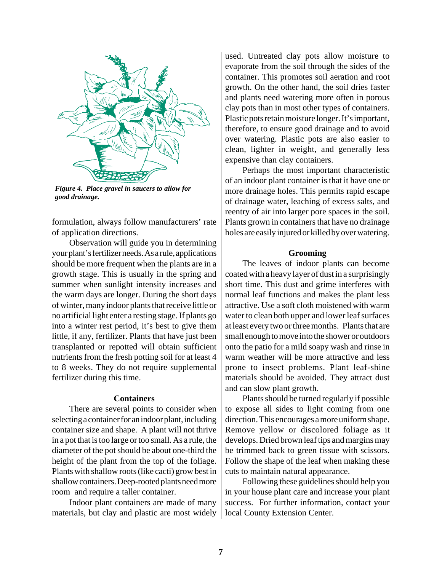

*Figure 4. Place gravel in saucers to allow for good drainage.*

formulation, always follow manufacturers' rate of application directions.

Observation will guide you in determining your plant's fertilizer needs. As a rule, applications should be more frequent when the plants are in a growth stage. This is usually in the spring and summer when sunlight intensity increases and the warm days are longer. During the short days of winter, many indoor plants that receive little or no artificial light enter a resting stage. If plants go into a winter rest period, it's best to give them little, if any, fertilizer. Plants that have just been transplanted or repotted will obtain sufficient nutrients from the fresh potting soil for at least 4 to 8 weeks. They do not require supplemental fertilizer during this time.

## **Containers**

There are several points to consider when selecting a container for an indoor plant, including container size and shape. A plant will not thrive in a pot that is too large or too small. As a rule, the diameter of the pot should be about one-third the height of the plant from the top of the foliage. Plants with shallow roots (like cacti) grow best in shallow containers. Deep-rooted plants need more room and require a taller container.

Indoor plant containers are made of many materials, but clay and plastic are most widely

used. Untreated clay pots allow moisture to evaporate from the soil through the sides of the container. This promotes soil aeration and root growth. On the other hand, the soil dries faster and plants need watering more often in porous clay pots than in most other types of containers. Plastic pots retain moisture longer. It's important, therefore, to ensure good drainage and to avoid over watering. Plastic pots are also easier to clean, lighter in weight, and generally less expensive than clay containers.

Perhaps the most important characteristic of an indoor plant container is that it have one or more drainage holes. This permits rapid escape of drainage water, leaching of excess salts, and reentry of air into larger pore spaces in the soil. Plants grown in containers that have no drainage holes are easily injured or killed by over watering.

#### **Grooming**

The leaves of indoor plants can become coated with a heavy layer of dust in a surprisingly short time. This dust and grime interferes with normal leaf functions and makes the plant less attractive. Use a soft cloth moistened with warm water to clean both upper and lower leaf surfaces at least every two or three months. Plants that are small enough to move into the shower or outdoors onto the patio for a mild soapy wash and rinse in warm weather will be more attractive and less prone to insect problems. Plant leaf-shine materials should be avoided. They attract dust and can slow plant growth.

Plants should be turned regularly if possible to expose all sides to light coming from one direction. This encourages a more uniform shape. Remove yellow or discolored foliage as it develops. Dried brown leaf tips and margins may be trimmed back to green tissue with scissors. Follow the shape of the leaf when making these cuts to maintain natural appearance.

Following these guidelines should help you in your house plant care and increase your plant success. For further information, contact your local County Extension Center.